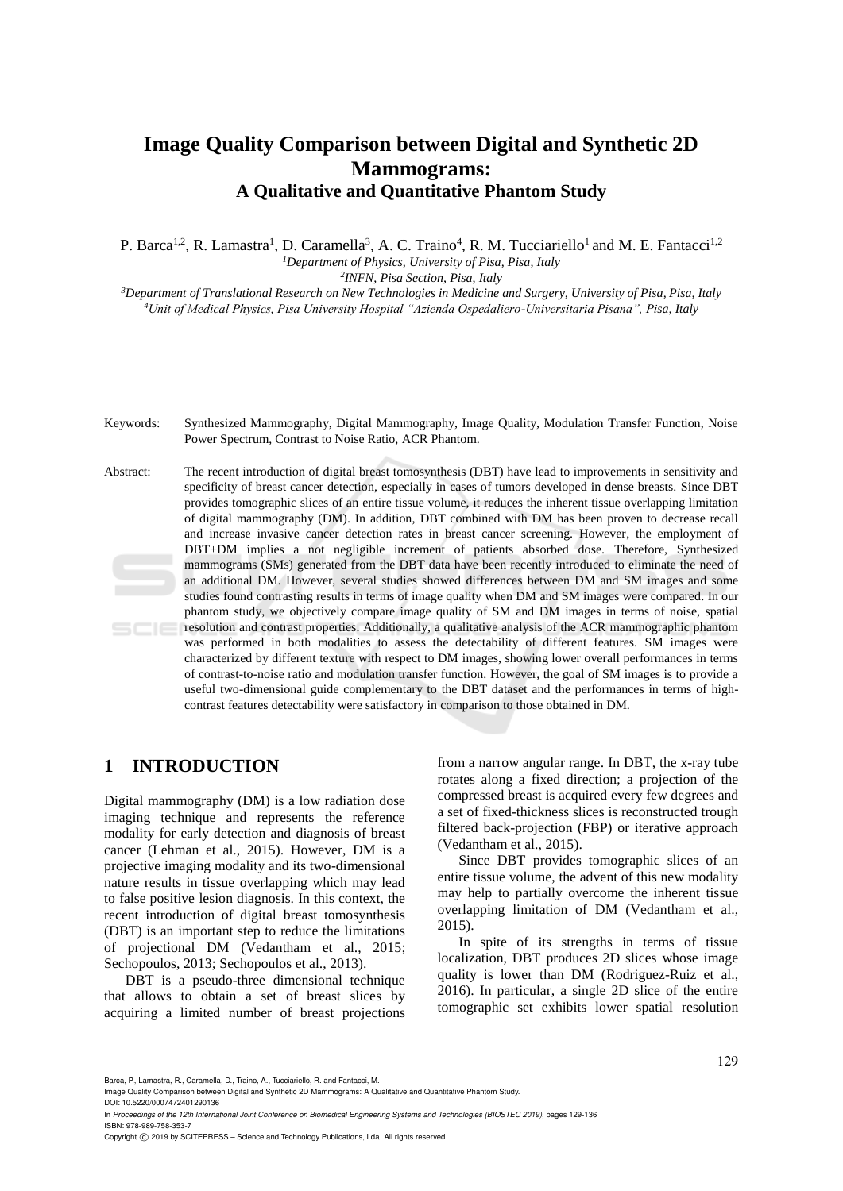# **Image Quality Comparison between Digital and Synthetic 2D Mammograms: A Qualitative and Quantitative Phantom Study**

P. Barca<sup>1,2</sup>, R. Lamastra<sup>1</sup>, D. Caramella<sup>3</sup>, A. C. Traino<sup>4</sup>, R. M. Tucciariello<sup>1</sup> and M. E. Fantacci<sup>1,2</sup> *<sup>1</sup>Department of Physics, University of Pisa, Pisa, Italy 2 INFN, Pisa Section, Pisa, Italy*

*<sup>3</sup>Department of Translational Research on New Technologies in Medicine and Surgery, University of Pisa, Pisa, Italy <sup>4</sup>Unit of Medical Physics, Pisa University Hospital "Azienda Ospedaliero-Universitaria Pisana", Pisa, Italy*

Keywords: Synthesized Mammography, Digital Mammography, Image Quality, Modulation Transfer Function, Noise Power Spectrum, Contrast to Noise Ratio, ACR Phantom.

Abstract: The recent introduction of digital breast tomosynthesis (DBT) have lead to improvements in sensitivity and specificity of breast cancer detection, especially in cases of tumors developed in dense breasts. Since DBT provides tomographic slices of an entire tissue volume, it reduces the inherent tissue overlapping limitation of digital mammography (DM). In addition, DBT combined with DM has been proven to decrease recall and increase invasive cancer detection rates in breast cancer screening. However, the employment of DBT+DM implies a not negligible increment of patients absorbed dose. Therefore, Synthesized mammograms (SMs) generated from the DBT data have been recently introduced to eliminate the need of an additional DM. However, several studies showed differences between DM and SM images and some studies found contrasting results in terms of image quality when DM and SM images were compared. In our phantom study, we objectively compare image quality of SM and DM images in terms of noise, spatial resolution and contrast properties. Additionally, a qualitative analysis of the ACR mammographic phantom was performed in both modalities to assess the detectability of different features. SM images were characterized by different texture with respect to DM images, showing lower overall performances in terms of contrast-to-noise ratio and modulation transfer function. However, the goal of SM images is to provide a useful two-dimensional guide complementary to the DBT dataset and the performances in terms of highcontrast features detectability were satisfactory in comparison to those obtained in DM.

# **1 INTRODUCTION**

Digital mammography (DM) is a low radiation dose imaging technique and represents the reference modality for early detection and diagnosis of breast cancer (Lehman et al., 2015). However, DM is a projective imaging modality and its two-dimensional nature results in tissue overlapping which may lead to false positive lesion diagnosis. In this context, the recent introduction of digital breast tomosynthesis (DBT) is an important step to reduce the limitations of projectional DM (Vedantham et al., 2015; Sechopoulos, 2013; Sechopoulos et al., 2013).

DBT is a pseudo-three dimensional technique that allows to obtain a set of breast slices by acquiring a limited number of breast projections

from a narrow angular range. In DBT, the x-ray tube rotates along a fixed direction; a projection of the compressed breast is acquired every few degrees and a set of fixed-thickness slices is reconstructed trough filtered back-projection (FBP) or iterative approach (Vedantham et al., 2015).

Since DBT provides tomographic slices of an entire tissue volume, the advent of this new modality may help to partially overcome the inherent tissue overlapping limitation of DM (Vedantham et al., 2015).

In spite of its strengths in terms of tissue localization, DBT produces 2D slices whose image quality is lower than DM (Rodriguez-Ruiz et al., 2016). In particular, a single 2D slice of the entire tomographic set exhibits lower spatial resolution

Barca, P., Lamastra, R., Caramella, D., Traino, A., Tucciariello, R. and Fantacci, M.

Image Quality Comparison between Digital and Synthetic 2D Mammograms: A Qualitative and Quantitative Phantom Study. DOI: 10.5220/0007472401290136

In *Proceedings of the 12th International Joint Conference on Biomedical Engineering Systems and Technologies (BIOSTEC 2019)*, pages 129-136 ISBN: 978-989-758-353-7

Copyright C 2019 by SCITEPRESS – Science and Technology Publications, Lda. All rights reserved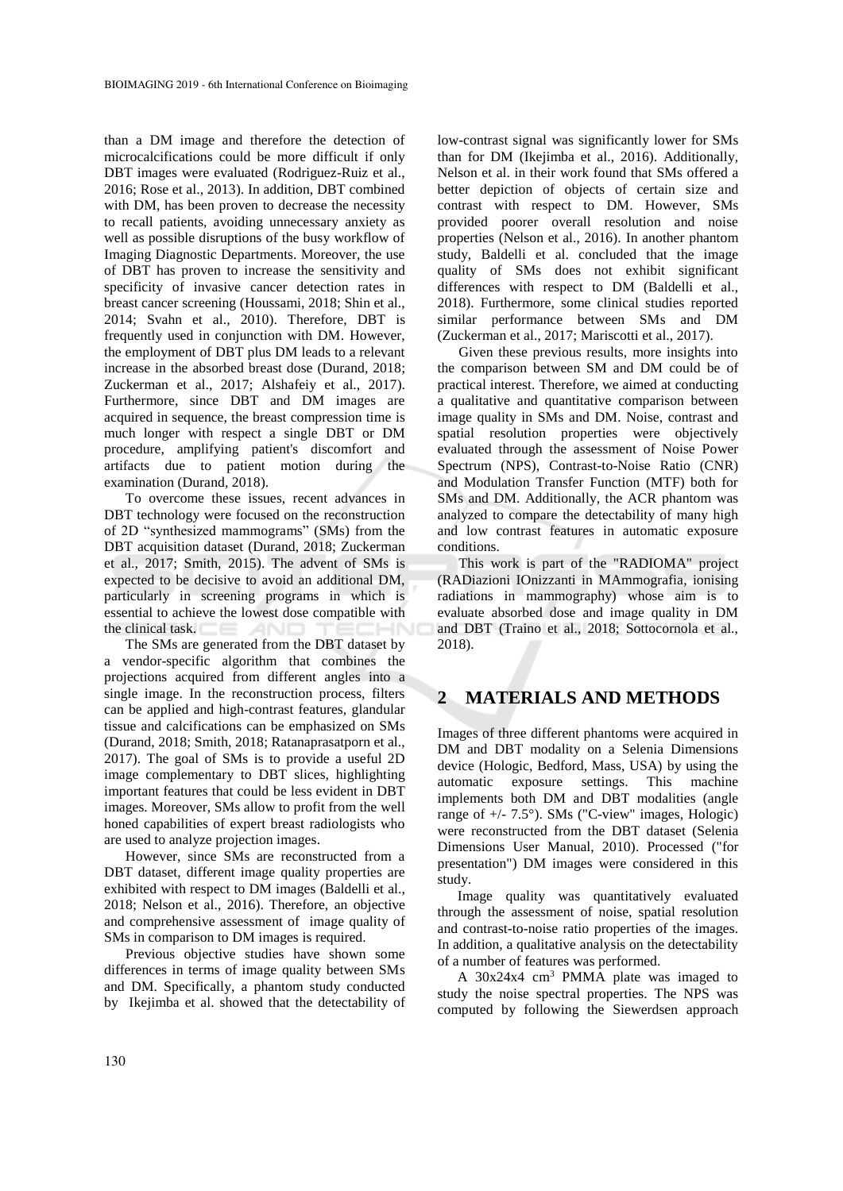than a DM image and therefore the detection of microcalcifications could be more difficult if only DBT images were evaluated (Rodriguez-Ruiz et al., 2016; Rose et al., 2013). In addition, DBT combined with DM, has been proven to decrease the necessity to recall patients, avoiding unnecessary anxiety as well as possible disruptions of the busy workflow of Imaging Diagnostic Departments. Moreover, the use of DBT has proven to increase the sensitivity and specificity of invasive cancer detection rates in breast cancer screening (Houssami, 2018; Shin et al., 2014; Svahn et al., 2010). Therefore, DBT is frequently used in conjunction with DM. However, the employment of DBT plus DM leads to a relevant increase in the absorbed breast dose (Durand, 2018; Zuckerman et al., 2017; Alshafeiy et al., 2017). Furthermore, since DBT and DM images are acquired in sequence, the breast compression time is much longer with respect a single DBT or DM procedure, amplifying patient's discomfort and artifacts due to patient motion during the examination (Durand, 2018).

To overcome these issues, recent advances in DBT technology were focused on the reconstruction of 2D "synthesized mammograms" (SMs) from the DBT acquisition dataset (Durand, 2018; Zuckerman et al., 2017; Smith, 2015). The advent of SMs is expected to be decisive to avoid an additional DM, particularly in screening programs in which is essential to achieve the lowest dose compatible with the clinical task. **ANI** 

The SMs are generated from the DBT dataset by a vendor-specific algorithm that combines the projections acquired from different angles into a single image. In the reconstruction process, filters can be applied and high-contrast features, glandular tissue and calcifications can be emphasized on SMs (Durand, 2018; Smith, 2018; Ratanaprasatporn et al., 2017). The goal of SMs is to provide a useful 2D image complementary to DBT slices, highlighting important features that could be less evident in DBT images. Moreover, SMs allow to profit from the well honed capabilities of expert breast radiologists who are used to analyze projection images.

However, since SMs are reconstructed from a DBT dataset, different image quality properties are exhibited with respect to DM images (Baldelli et al., 2018; Nelson et al., 2016). Therefore, an objective and comprehensive assessment of image quality of SMs in comparison to DM images is required.

Previous objective studies have shown some differences in terms of image quality between SMs and DM. Specifically, a phantom study conducted by Ikejimba et al. showed that the detectability of low-contrast signal was significantly lower for SMs than for DM (Ikejimba et al., 2016). Additionally, Nelson et al. in their work found that SMs offered a better depiction of objects of certain size and contrast with respect to DM. However, SMs provided poorer overall resolution and noise properties (Nelson et al., 2016). In another phantom study, Baldelli et al. concluded that the image quality of SMs does not exhibit significant differences with respect to DM (Baldelli et al., 2018). Furthermore, some clinical studies reported similar performance between SMs and DM (Zuckerman et al., 2017; Mariscotti et al., 2017).

Given these previous results, more insights into the comparison between SM and DM could be of practical interest. Therefore, we aimed at conducting a qualitative and quantitative comparison between image quality in SMs and DM. Noise, contrast and spatial resolution properties were objectively evaluated through the assessment of Noise Power Spectrum (NPS), Contrast-to-Noise Ratio (CNR) and Modulation Transfer Function (MTF) both for SMs and DM. Additionally, the ACR phantom was analyzed to compare the detectability of many high and low contrast features in automatic exposure conditions.

This work is part of the "RADIOMA" project (RADiazioni IOnizzanti in MAmmografia, ionising radiations in mammography) whose aim is to evaluate absorbed dose and image quality in DM and DBT (Traino et al., 2018; Sottocornola et al., 2018).

## **2 MATERIALS AND METHODS**

Images of three different phantoms were acquired in DM and DBT modality on a Selenia Dimensions device (Hologic, Bedford, Mass, USA) by using the automatic exposure settings. This machine implements both DM and DBT modalities (angle range of  $+/- 7.5^{\circ}$ ). SMs ("C-view" images, Hologic) were reconstructed from the DBT dataset (Selenia Dimensions User Manual, 2010). Processed ("for presentation") DM images were considered in this study.

Image quality was quantitatively evaluated through the assessment of noise, spatial resolution and contrast-to-noise ratio properties of the images. In addition, a qualitative analysis on the detectability of a number of features was performed.

A 30x24x4 cm<sup>3</sup> PMMA plate was imaged to study the noise spectral properties. The NPS was computed by following the Siewerdsen approach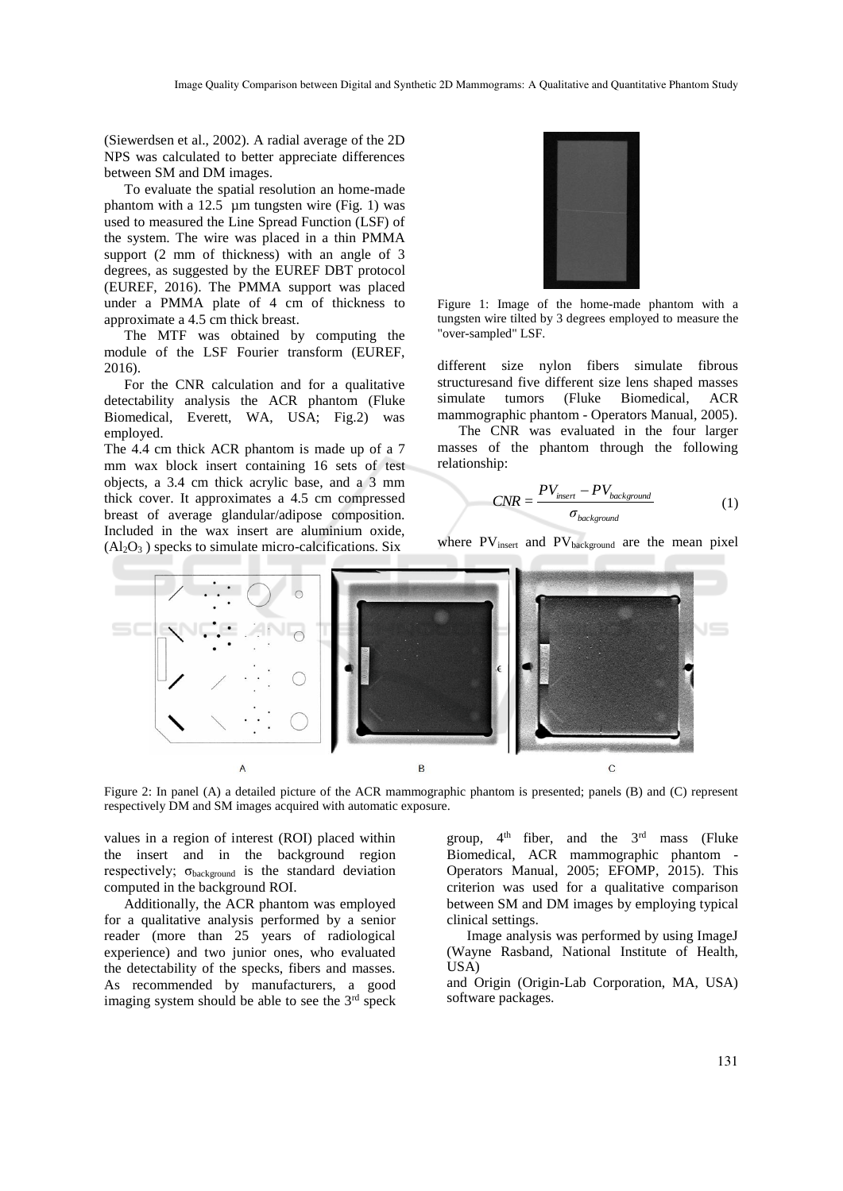(Siewerdsen et al., 2002). A radial average of the 2D NPS was calculated to better appreciate differences between SM and DM images.

To evaluate the spatial resolution an home-made phantom with a  $12.5$  µm tungsten wire (Fig. 1) was used to measured the Line Spread Function (LSF) of the system. The wire was placed in a thin PMMA support (2 mm of thickness) with an angle of 3 degrees, as suggested by the EUREF DBT protocol (EUREF, 2016). The PMMA support was placed under a PMMA plate of 4 cm of thickness to approximate a 4.5 cm thick breast.

The MTF was obtained by computing the module of the LSF Fourier transform (EUREF, 2016).

For the CNR calculation and for a qualitative detectability analysis the ACR phantom (Fluke Biomedical, Everett, WA, USA; Fig.2) was employed.

The 4.4 cm thick ACR phantom is made up of a 7 mm wax block insert containing 16 sets of test objects, a 3.4 cm thick acrylic base, and a 3 mm thick cover. It approximates a 4.5 cm compressed breast of average glandular/adipose composition. Included in the wax insert are aluminium oxide,  $(A<sub>2</sub>O<sub>3</sub>)$  specks to simulate micro-calcifications. Six



Figure 1: Image of the home-made phantom with a tungsten wire tilted by 3 degrees employed to measure the "over-sampled" LSF.

different size nylon fibers simulate fibrous structuresand five different size lens shaped masses simulate tumors (Fluke Biomedical, ACR mammographic phantom - Operators Manual, 2005).

The CNR was evaluated in the four larger masses of the phantom through the following relationship:

$$
CNR = \frac{PV_{insert} - PV_{background}}{\sigma_{background}}
$$
 (1)

where  $PV_{insert}$  and  $PV_{background}$  are the mean pixel



Figure 2: In panel (A) a detailed picture of the ACR mammographic phantom is presented; panels (B) and (C) represent respectively DM and SM images acquired with automatic exposure.

values in a region of interest (ROI) placed within the insert and in the background region respectively; σbackground is the standard deviation computed in the background ROI.

Additionally, the ACR phantom was employed for a qualitative analysis performed by a senior reader (more than 25 years of radiological experience) and two junior ones, who evaluated the detectability of the specks, fibers and masses. As recommended by manufacturers, a good imaging system should be able to see the  $3<sup>rd</sup>$  speck

group,  $4<sup>th</sup>$  fiber, and the  $3<sup>rd</sup>$  mass (Fluke Biomedical, ACR mammographic phantom - Operators Manual, 2005; EFOMP, 2015). This criterion was used for a qualitative comparison between SM and DM images by employing typical clinical settings.

Image analysis was performed by using ImageJ (Wayne Rasband, National Institute of Health,  $USA$ )

and Origin (Origin-Lab Corporation, MA, USA) software packages.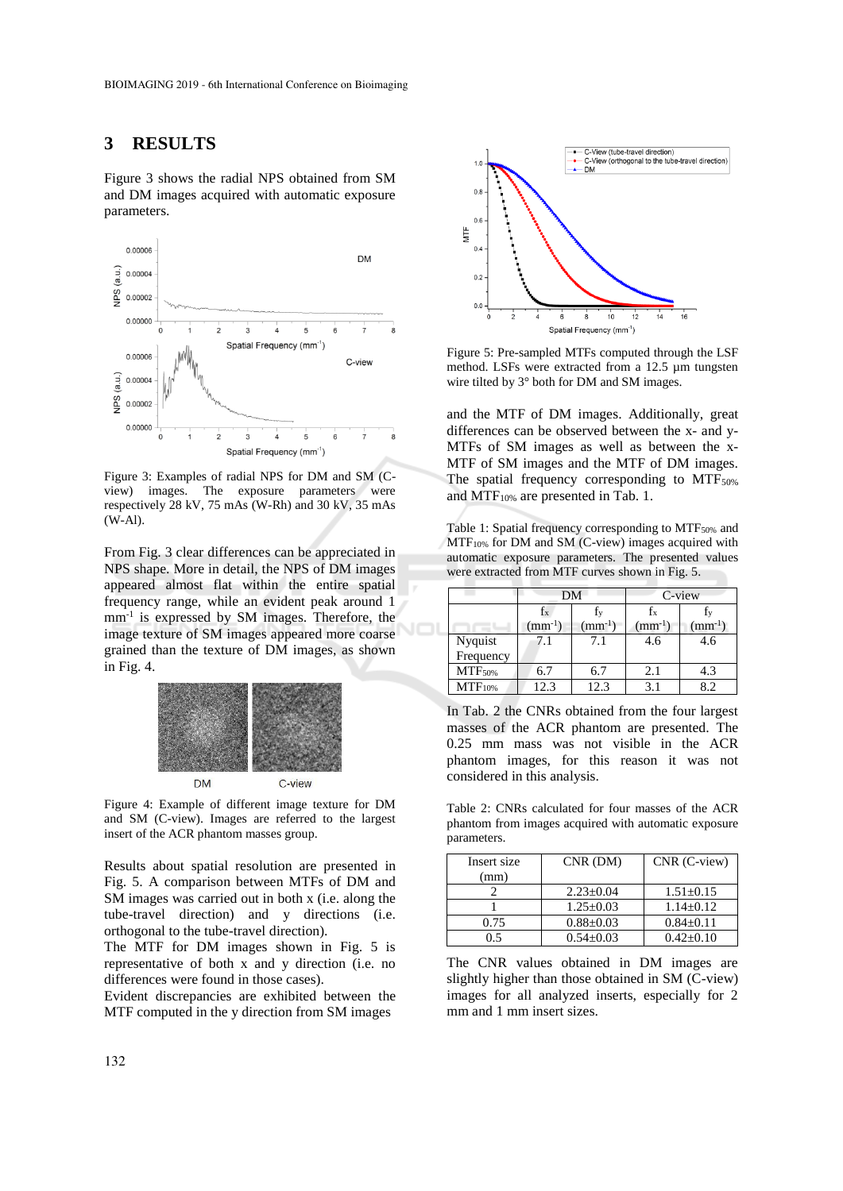#### **3 RESULTS**

Figure 3 shows the radial NPS obtained from SM and DM images acquired with automatic exposure parameters.



Figure 3: Examples of radial NPS for DM and SM (Cview) images. The exposure parameters were respectively 28 kV, 75 mAs (W-Rh) and 30 kV, 35 mAs (W-Al).

From Fig. 3 clear differences can be appreciated in NPS shape. More in detail, the NPS of DM images appeared almost flat within the entire spatial frequency range, while an evident peak around 1 mm-1 is expressed by SM images. Therefore, the image texture of SM images appeared more coarse grained than the texture of DM images, as shown in Fig. 4.



Figure 4: Example of different image texture for DM and SM (C-view). Images are referred to the largest insert of the ACR phantom masses group.

Results about spatial resolution are presented in Fig. 5. A comparison between MTFs of DM and SM images was carried out in both x (i.e. along the tube-travel direction) and y directions (i.e. orthogonal to the tube-travel direction).

The MTF for DM images shown in Fig. 5 is representative of both x and y direction (i.e. no differences were found in those cases).

Evident discrepancies are exhibited between the MTF computed in the y direction from SM images



Figure 5: Pre-sampled MTFs computed through the LSF method. LSFs were extracted from a 12.5 µm tungsten wire tilted by 3° both for DM and SM images.

and the MTF of DM images. Additionally, great differences can be observed between the x- and y-MTFs of SM images as well as between the x-MTF of SM images and the MTF of DM images. The spatial frequency corresponding to  $MTF_{50\%}$ and MTF10% are presented in Tab. 1.

Table 1: Spatial frequency corresponding to MTF<sub>50%</sub> and MTF10% for DM and SM (C-view) images acquired with automatic exposure parameters. The presented values were extracted from MTF curves shown in Fig. 5.

|                    | DΜ          |             | C-view      |             |
|--------------------|-------------|-------------|-------------|-------------|
|                    |             |             | Īх          |             |
|                    | $(mm^{-1})$ | $(mm^{-1})$ | $(mm^{-1})$ | $(mm^{-1})$ |
| Nyquist            |             | 7.1         | 4.6         | 4.6         |
| Frequency          |             |             |             |             |
| <b>MTF</b> 50%     | 6.7         | 6.7         | 2.1         | 4.3         |
| MTF <sub>10%</sub> | 12.3        | 12.3        | 3.1         | 89          |

In Tab. 2 the CNRs obtained from the four largest masses of the ACR phantom are presented. The 0.25 mm mass was not visible in the ACR phantom images, for this reason it was not considered in this analysis.

Table 2: CNRs calculated for four masses of the ACR phantom from images acquired with automatic exposure parameters.

| Insert size | $CNR$ (DM)      | CNR (C-view)    |
|-------------|-----------------|-----------------|
| (mm)        |                 |                 |
|             | $2.23+0.04$     | $1.51 \pm 0.15$ |
|             | $1.25 \pm 0.03$ | $1.14 + 0.12$   |
| 0.75        | $0.88 \pm 0.03$ | $0.84 \pm 0.11$ |
|             | $0.54 + 0.03$   | $0.42 + 0.10$   |

The CNR values obtained in DM images are slightly higher than those obtained in SM (C-view) images for all analyzed inserts, especially for 2 mm and 1 mm insert sizes.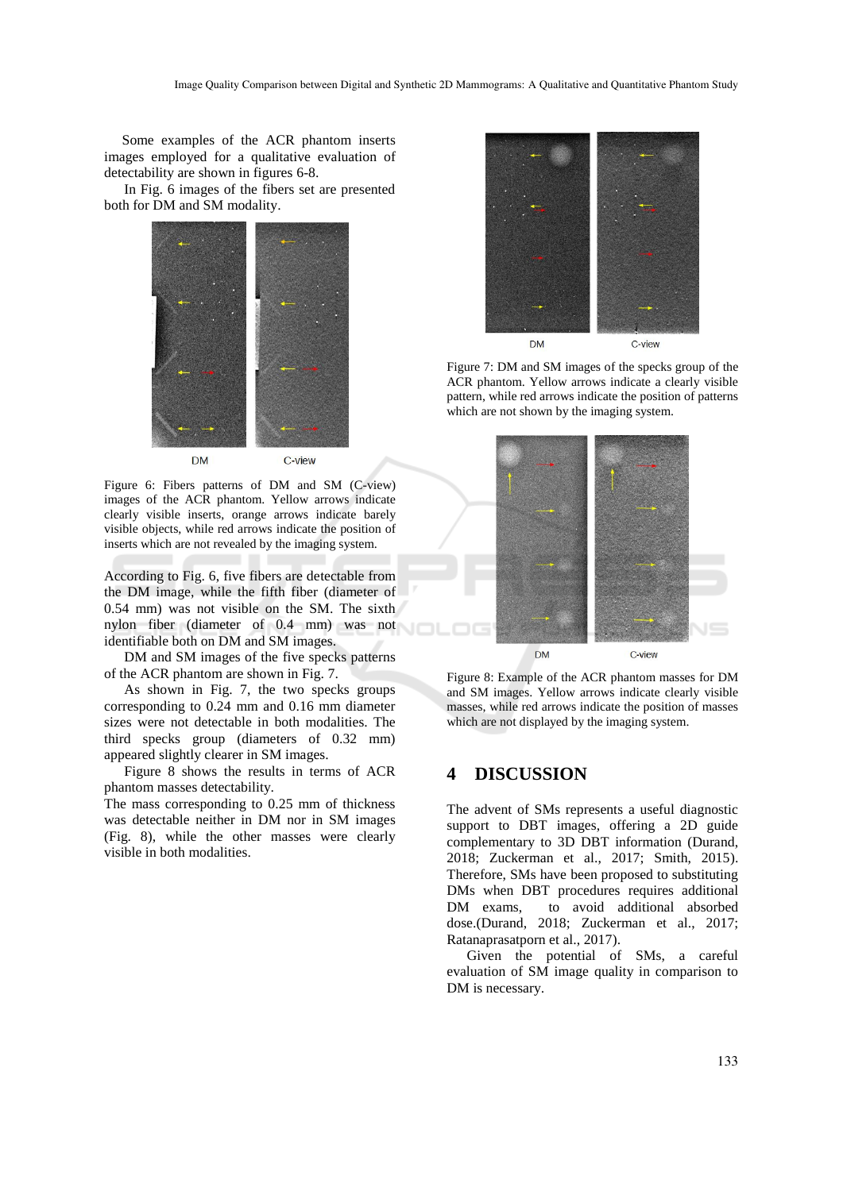Some examples of the ACR phantom inserts images employed for a qualitative evaluation of detectability are shown in figures 6-8.

In Fig. 6 images of the fibers set are presented both for DM and SM modality.



Figure 6: Fibers patterns of DM and SM (C-view) images of the ACR phantom. Yellow arrows indicate clearly visible inserts, orange arrows indicate barely visible objects, while red arrows indicate the position of inserts which are not revealed by the imaging system.

According to Fig. 6, five fibers are detectable from the DM image, while the fifth fiber (diameter of 0.54 mm) was not visible on the SM. The sixth nylon fiber (diameter of 0.4 mm) was not identifiable both on DM and SM images.

DM and SM images of the five specks patterns of the ACR phantom are shown in Fig. 7.

As shown in Fig. 7, the two specks groups corresponding to 0.24 mm and 0.16 mm diameter sizes were not detectable in both modalities. The third specks group (diameters of 0.32 mm) appeared slightly clearer in SM images.

Figure 8 shows the results in terms of ACR phantom masses detectability.

The mass corresponding to 0.25 mm of thickness was detectable neither in DM nor in SM images (Fig. 8), while the other masses were clearly visible in both modalities.



Figure 7: DM and SM images of the specks group of the ACR phantom. Yellow arrows indicate a clearly visible pattern, while red arrows indicate the position of patterns which are not shown by the imaging system.



Figure 8: Example of the ACR phantom masses for DM and SM images. Yellow arrows indicate clearly visible masses, while red arrows indicate the position of masses which are not displayed by the imaging system.

## **4 DISCUSSION**

The advent of SMs represents a useful diagnostic support to DBT images, offering a 2D guide complementary to 3D DBT information (Durand, 2018; Zuckerman et al., 2017; Smith, 2015). Therefore, SMs have been proposed to substituting DMs when DBT procedures requires additional DM exams, to avoid additional absorbed dose.(Durand, 2018; Zuckerman et al., 2017; Ratanaprasatporn et al., 2017).

Given the potential of SMs, a careful evaluation of SM image quality in comparison to DM is necessary.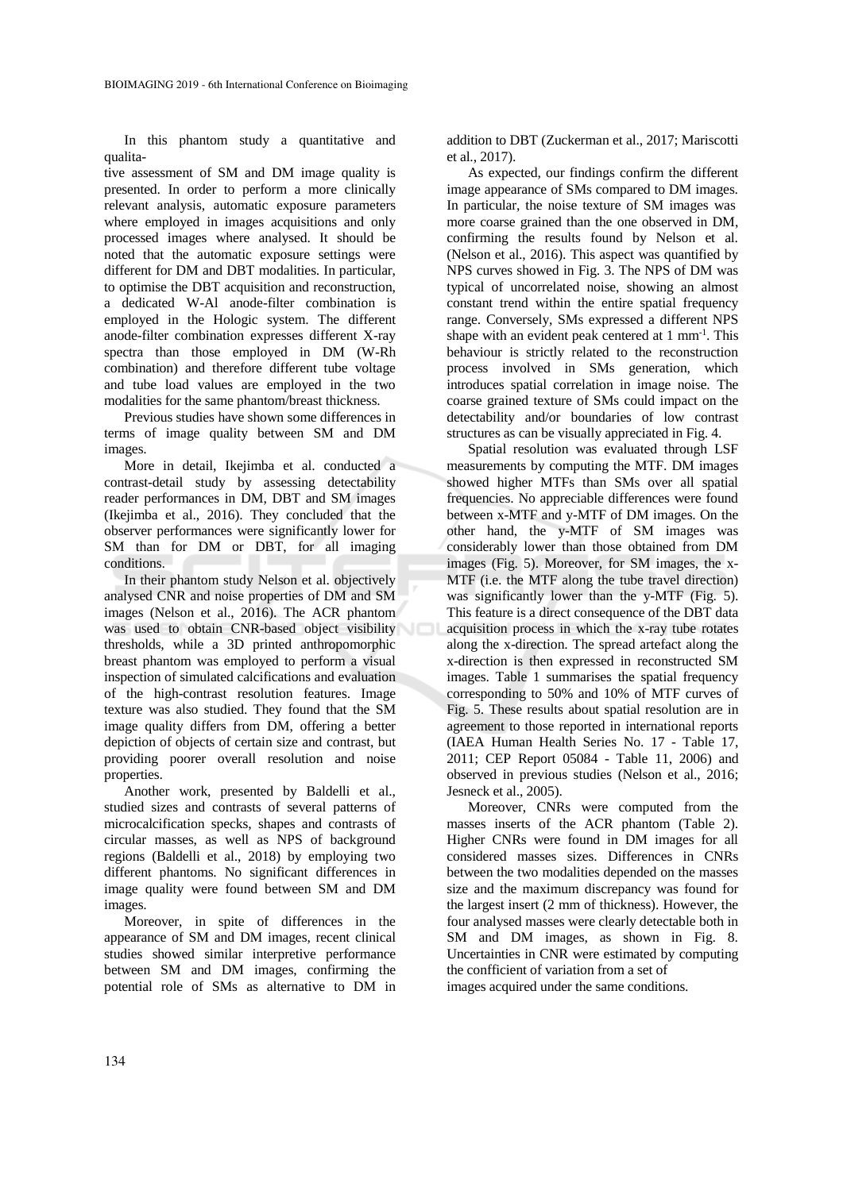In this phantom study a quantitative and qualita-

tive assessment of SM and DM image quality is presented. In order to perform a more clinically relevant analysis, automatic exposure parameters where employed in images acquisitions and only processed images where analysed. It should be noted that the automatic exposure settings were different for DM and DBT modalities. In particular, to optimise the DBT acquisition and reconstruction, a dedicated W-Al anode-filter combination is employed in the Hologic system. The different anode-filter combination expresses different X-ray spectra than those employed in DM (W-Rh combination) and therefore different tube voltage and tube load values are employed in the two modalities for the same phantom/breast thickness.

Previous studies have shown some differences in terms of image quality between SM and DM images.

More in detail, Ikejimba et al. conducted a contrast-detail study by assessing detectability reader performances in DM, DBT and SM images (Ikejimba et al., 2016). They concluded that the observer performances were significantly lower for SM than for DM or DBT, for all imaging conditions.

In their phantom study Nelson et al. objectively analysed CNR and noise properties of DM and SM images (Nelson et al., 2016). The ACR phantom was used to obtain CNR-based object visibility thresholds, while a 3D printed anthropomorphic breast phantom was employed to perform a visual inspection of simulated calcifications and evaluation of the high-contrast resolution features. Image texture was also studied. They found that the SM image quality differs from DM, offering a better depiction of objects of certain size and contrast, but providing poorer overall resolution and noise properties.

Another work, presented by Baldelli et al., studied sizes and contrasts of several patterns of microcalcification specks, shapes and contrasts of circular masses, as well as NPS of background regions (Baldelli et al., 2018) by employing two different phantoms. No significant differences in image quality were found between SM and DM images.

Moreover, in spite of differences in the appearance of SM and DM images, recent clinical studies showed similar interpretive performance between SM and DM images, confirming the potential role of SMs as alternative to DM in addition to DBT (Zuckerman et al., 2017; Mariscotti et al., 2017).

As expected, our findings confirm the different image appearance of SMs compared to DM images. In particular, the noise texture of SM images was more coarse grained than the one observed in DM, confirming the results found by Nelson et al. (Nelson et al., 2016). This aspect was quantified by NPS curves showed in Fig. 3. The NPS of DM was typical of uncorrelated noise, showing an almost constant trend within the entire spatial frequency range. Conversely, SMs expressed a different NPS shape with an evident peak centered at 1 mm<sup>-1</sup>. This behaviour is strictly related to the reconstruction process involved in SMs generation, which introduces spatial correlation in image noise. The coarse grained texture of SMs could impact on the detectability and/or boundaries of low contrast structures as can be visually appreciated in Fig. 4.

Spatial resolution was evaluated through LSF measurements by computing the MTF. DM images showed higher MTFs than SMs over all spatial frequencies. No appreciable differences were found between x-MTF and y-MTF of DM images. On the other hand, the y-MTF of SM images was considerably lower than those obtained from DM images (Fig. 5). Moreover, for SM images, the x-MTF (i.e. the MTF along the tube travel direction) was significantly lower than the y-MTF (Fig. 5). This feature is a direct consequence of the DBT data acquisition process in which the x-ray tube rotates along the x-direction. The spread artefact along the x-direction is then expressed in reconstructed SM images. Table 1 summarises the spatial frequency corresponding to 50% and 10% of MTF curves of Fig. 5. These results about spatial resolution are in agreement to those reported in international reports (IAEA Human Health Series No. 17 - Table 17, 2011; CEP Report 05084 - Table 11, 2006) and observed in previous studies (Nelson et al., 2016; Jesneck et al., 2005).

Moreover, CNRs were computed from the masses inserts of the ACR phantom (Table 2). Higher CNRs were found in DM images for all considered masses sizes. Differences in CNRs between the two modalities depended on the masses size and the maximum discrepancy was found for the largest insert (2 mm of thickness). However, the four analysed masses were clearly detectable both in SM and DM images, as shown in Fig. 8. Uncertainties in CNR were estimated by computing the confficient of variation from a set of images acquired under the same conditions.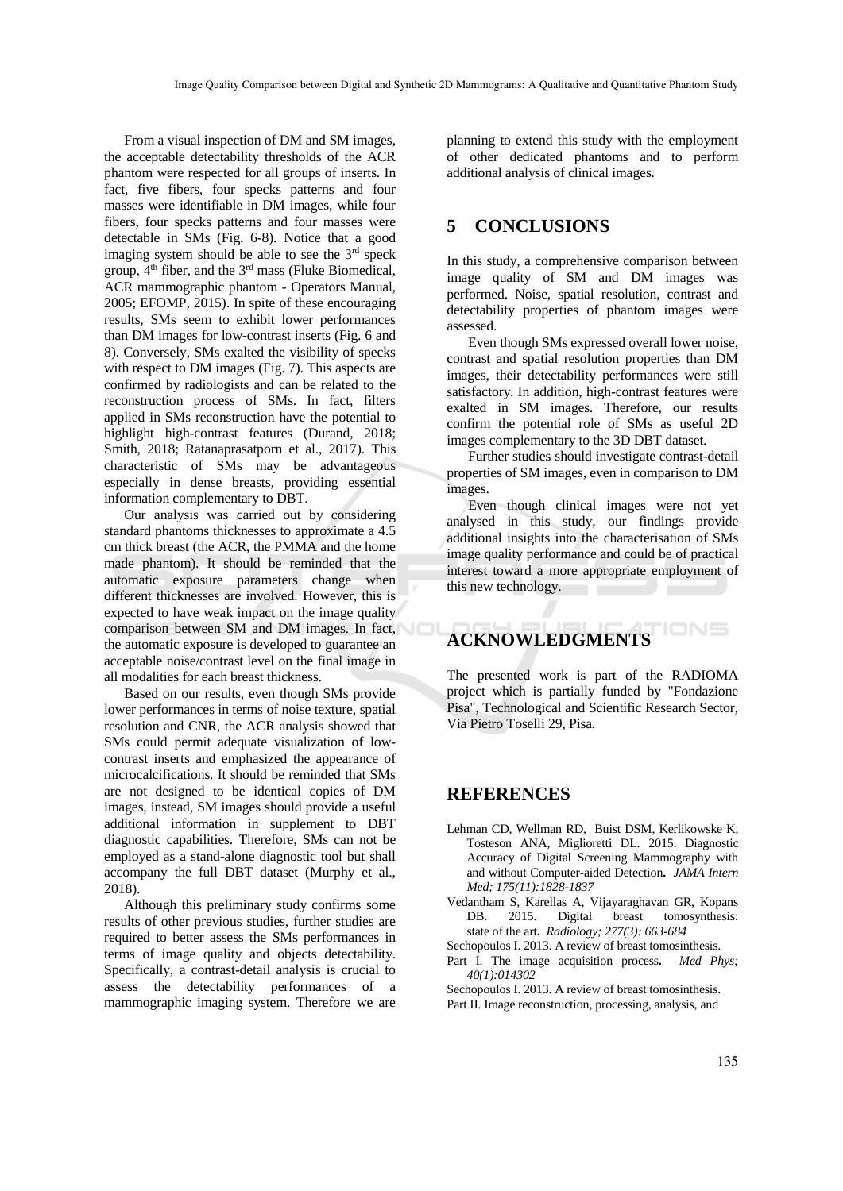From a visual inspection of DM and SM images, the acceptable detectability thresholds of the ACR phantom were respected for all groups of inserts. In fact, five fibers, four specks patterns and four masses were identifiable in DM images, while four fibers, four specks patterns and four masses were detectable in SMs (Fig. 6-8). Notice that a good imaging system should be able to see the 3<sup>rd</sup> speck group, 4th fiber, and the 3rd mass (Fluke Biomedical, ACR mammographic phantom - Operators Manual, 2005; EFOMP, 2015). In spite of these encouraging results, SMs seem to exhibit lower performances than DM images for low-contrast inserts (Fig. 6 and 8). Conversely, SMs exalted the visibility of specks with respect to DM images (Fig. 7). This aspects are confirmed by radiologists and can be related to the reconstruction process of SMs. In fact, filters applied in SMs reconstruction have the potential to highlight high-contrast features (Durand, 2018; Smith, 2018; Ratanaprasatporn et al., 2017). This characteristic of SMs may be advantageous especially in dense breasts, providing essential information complementary to DBT.

Our analysis was carried out by considering standard phantoms thicknesses to approximate a 4.5 cm thick breast (the ACR, the PMMA and the home made phantom). It should be reminded that the automatic exposure parameters change when different thicknesses are involved. However, this is expected to have weak impact on the image quality comparison between SM and DM images. In fact, the automatic exposure is developed to guarantee an acceptable noise/contrast level on the final image in all modalities for each breast thickness.

Based on our results, even though SMs provide lower performances in terms of noise texture, spatial resolution and CNR, the ACR analysis showed that SMs could permit adequate visualization of lowcontrast inserts and emphasized the appearance of microcalcifications. It should be reminded that SMs are not designed to be identical copies of DM images, instead, SM images should provide a useful additional information in supplement to DBT diagnostic capabilities. Therefore, SMs can not be employed as a stand-alone diagnostic tool but shall accompany the full DBT dataset (Murphy et al., 2018).

Although this preliminary study confirms some results of other previous studies, further studies are required to better assess the SMs performances in terms of image quality and objects detectability. Specifically, a contrast-detail analysis is crucial to assess the detectability performances of a mammographic imaging system. Therefore we are

planning to extend this study with the employment of other dedicated phantoms and to perform additional analysis of clinical images.

## **5 CONCLUSIONS**

In this study, a comprehensive comparison between image quality of SM and DM images was performed. Noise, spatial resolution, contrast and detectability properties of phantom images were assessed.

Even though SMs expressed overall lower noise, contrast and spatial resolution properties than DM images, their detectability performances were still satisfactory. In addition, high-contrast features were exalted in SM images. Therefore, our results confirm the potential role of SMs as useful 2D images complementary to the 3D DBT dataset.

Further studies should investigate contrast-detail properties of SM images, even in comparison to DM images.

Even though clinical images were not yet analysed in this study, our findings provide additional insights into the characterisation of SMs image quality performance and could be of practical interest toward a more appropriate employment of this new technology.

#### IONS **ACKNOWLEDGMENTS**

The presented work is part of the RADIOMA project which is partially funded by "Fondazione Pisa", Technological and Scientific Research Sector, Via Pietro Toselli 29, Pisa.

#### **REFERENCES**

- Lehman CD, Wellman RD, Buist DSM, Kerlikowske K, Tosteson ANA, Miglioretti DL. 2015. Diagnostic Accuracy of Digital Screening Mammography with and without Computer-aided Detection**.** *JAMA Intern Med; 175(11):1828-1837*
- Vedantham S, Karellas A, Vijayaraghavan GR, Kopans DB. 2015. Digital breast tomosynthesis: state of the art**.** *Radiology; 277(3): 663-684*
- Sechopoulos I. 2013. A review of breast tomosinthesis.
- Part I. The image acquisition process**.** *Med Phys; 40(1):014302*

Sechopoulos I. 2013. A review of breast tomosinthesis. Part II. Image reconstruction, processing, analysis, and